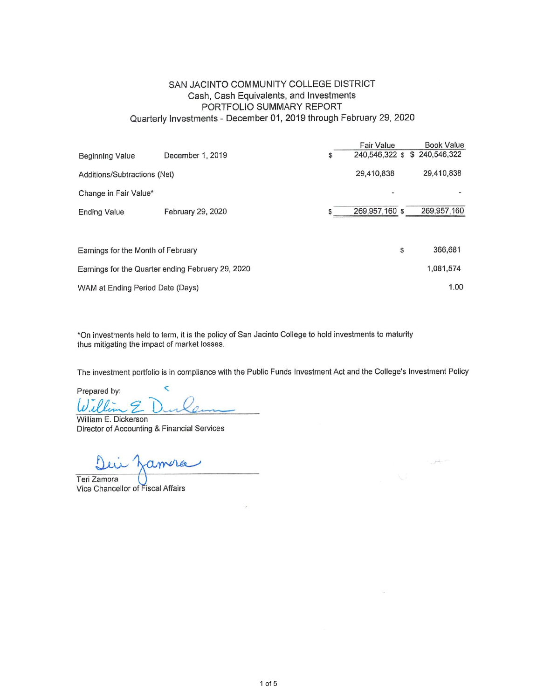## SAN JACINTO COMMUNITY COLLEGE DISTRICT Cash, Cash Equivalents, and Investments PORTFOLIO SUMMARY REPORT Quarterly Investments - December 01, 2019 through February 29, 2020

|                                    |                                                   |    | Fair Value                    | <b>Book Value</b> |
|------------------------------------|---------------------------------------------------|----|-------------------------------|-------------------|
| <b>Beginning Value</b>             | December 1, 2019                                  | \$ | 240.546.322 \$ \$ 240.546.322 |                   |
| Additions/Subtractions (Net)       |                                                   |    | 29,410,838                    | 29,410,838        |
| Change in Fair Value*              |                                                   |    |                               |                   |
| <b>Ending Value</b>                | February 29, 2020                                 | S  | 269,957,160 \$                | 269,957,160       |
|                                    |                                                   |    |                               |                   |
| Earnings for the Month of February |                                                   |    |                               | \$<br>366,681     |
|                                    | Earnings for the Quarter ending February 29, 2020 |    |                               | 1.081.574         |
| WAM at Ending Period Date (Days)   |                                                   |    |                               | 1.00              |

\*On investments held to term, it is the policy of San Jacinto College to hold investments to maturity thus mitigating the impact of market losses.

The investment portfolio is in compliance with the Public Funds Investment Act and the College's Investment Policy

استمرز

 $\overline{\mathbf{C}}$ Prepared by: Willia .E

William E. Dickerson Director of Accounting & Financial Services

amera

Teri Zamora Vice Chancellor of Fiscal Affairs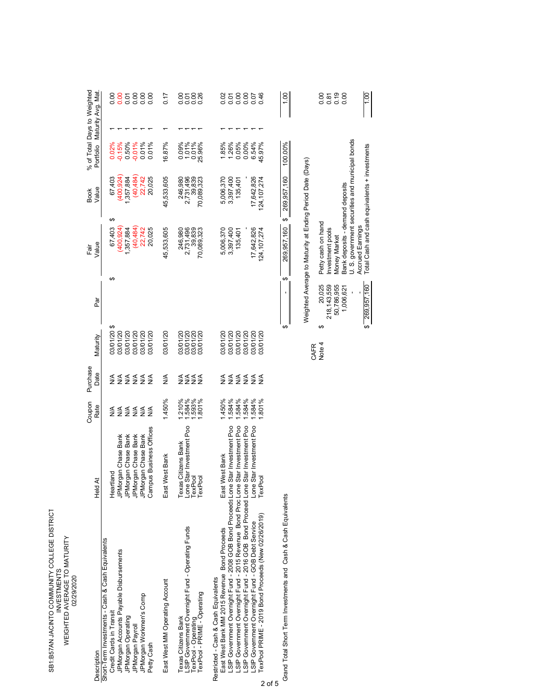| SB1:B57AN JACINTO COMMUNITY COLLEGE DISTRICT<br>WEIGHTED AVERAGE TO MATURITY<br><b>INVESTMENTS</b><br>02/29/2020 |  |
|------------------------------------------------------------------------------------------------------------------|--|
|------------------------------------------------------------------------------------------------------------------|--|

| Description                                                                                                                                                                                                                                                                                                                                                                                                                                                   | Held At                                                                                                                               | Coupon<br>Rate                                         | Purchase<br>Date          | Maturity                                                               | क<br>व | Ēāi | Value                                                                 | Value<br><b>Book</b>                                             | % of Total Days to Weighted<br>Portfolio                             | Maturity Avg. Mat |                                    |
|---------------------------------------------------------------------------------------------------------------------------------------------------------------------------------------------------------------------------------------------------------------------------------------------------------------------------------------------------------------------------------------------------------------------------------------------------------------|---------------------------------------------------------------------------------------------------------------------------------------|--------------------------------------------------------|---------------------------|------------------------------------------------------------------------|--------|-----|-----------------------------------------------------------------------|------------------------------------------------------------------|----------------------------------------------------------------------|-------------------|------------------------------------|
| Short-Term Investments - Cash & Cash Equivalents<br>JPMorgan Accounts Payable Disbursements<br>JPMorgan Workmen's Comp<br>Credit Cards in Transit<br>JPMorgan Operating<br>JPMorgan Payroll<br>Petty Cash                                                                                                                                                                                                                                                     | Campus Business Offices<br>JPMorgan Chase Bank<br>JPMorgan Chase Bank<br>JPMorgan Chase Bank<br>JPMorgan Chase Bank<br>land<br>Heartl | <b>ARAKA</b><br>MARA<br>≸<br>$\frac{4}{2}$             | E<br>Szzzz<br>≸           | 3/01/20 \$<br>03/01/20<br>03/01/20<br>03/01/20<br>03/01/20<br>03/01/20 |        | ↮   | ↮<br>67,403<br>400,924<br>$(40, 484)$<br>22,742<br>20,025<br>,357,884 | 400,924<br>(40, 484)<br>20,025<br>67,403<br>,357,884<br>22,742   | 0.01%<br>$0.02\%$<br>$-0.15\%$<br>0.50%<br>-0.01%<br>0.01%           |                   | 588<br>000<br>0.00<br>0.00<br>0.00 |
| East West MM Operating Account                                                                                                                                                                                                                                                                                                                                                                                                                                | West Bank<br>East <sup>)</sup>                                                                                                        | 1.450%                                                 | ≸                         | 03/01/20                                                               |        |     | 45,533,605                                                            | 45,533,605                                                       | 16.87%                                                               |                   | 7.0                                |
| LSIP Government Overnight Fund - Operating Funds<br>exPool - PRIME - Operating<br>Texas Citizens Bank<br>[exPool - Operating                                                                                                                                                                                                                                                                                                                                  | Lone Star Investment Poo<br>TexPool<br>Texas Citizens Bank<br>TexPool                                                                 | 1.210%<br>1.584%<br>.593%<br>.801%                     | ≦<br>≷≨≼∢                 | 03/01/20<br>03/01/20<br>03/01/20<br>02/10/20                           |        |     | 2,731,496<br>39,839<br>246,980<br>70,089,323                          | 2,731,496<br>39,839<br>246,980<br>70,089,323                     | $\begin{array}{c} 0.09\% \\ 1.01\% \\ 0.01\% \\ 25.96\% \end{array}$ |                   | 0.00<br>$\frac{0}{0}$<br>0.01      |
| LSIP Government Overnight Fund - 2008 GOB Bond Proceeds Lone Star Investment Poo<br>SIP Government Overnight Fund - 2015 Revenue Bond ProcLone Star Investment Poo<br>SIP Government Overnight Fund - 2016 GOB Bond Proceed:Lone Star Investment Poo<br>LSIP Government Overnight Fund - GOB Debt Service<br>TexPool PRIME - 2019 Bond Proceeds (New 02/26/2019)<br>East West Bank MM 2015 Revenue Bond Proceeds<br>Restricted - Cash & Cash Equivalents<br>っ | Lone Star Investment Poo<br>West Bank<br>TexPool<br>East <sup>1</sup>                                                                 | .584%<br>.584%<br>1.584%<br>$-450%$<br>.584%<br>1.801% | <b>ARARARA</b><br>ARARARA | 03/01/20<br>03/01/20<br>03/01/20<br>03/01/20<br>03/01/20<br>03/01/20   |        |     | 17,642,826<br>5,006,370<br>124,107,274<br>3,397,400<br>135,401        | 17,642,826<br>5,006,370<br>124, 107, 274<br>3,397,400<br>135,401 | 1.85%<br>6.54%<br>45.97%<br>0.00%<br>1.26%<br>0.05%                  |                   | 0.02<br>0.07<br>0.07<br>0.46       |
| Grand Total Short Term Investments and Cash & Cash Equivalents                                                                                                                                                                                                                                                                                                                                                                                                |                                                                                                                                       |                                                        |                           |                                                                        |        | ↔   | ↔<br>269,957,160                                                      | 269,957,160                                                      | 100.00%                                                              |                   |                                    |
|                                                                                                                                                                                                                                                                                                                                                                                                                                                               |                                                                                                                                       |                                                        |                           |                                                                        |        |     |                                                                       | Weighted Average to Maturity at Ending Period Date (Days)        |                                                                      |                   |                                    |

|                                                           |                    |                  | 8588<br>8588 |                                 |                                                 |                  | $\frac{100}{100}$                             |
|-----------------------------------------------------------|--------------------|------------------|--------------|---------------------------------|-------------------------------------------------|------------------|-----------------------------------------------|
| Neighted Average to Maturity at Ending Period Date (Days) | Petty cash on hand | Investment pools | Money Market | Bank deposits - demand deposits | U. S. government securities and municipal bonds | Accrued Earnings | Total Cash and cash equivalents + investments |
|                                                           | 20,025             | 218, 143, 559    | 50,786,955   | 1,006,621                       |                                                 |                  | \$ 269,957,160                                |
| CAFR                                                      | Note 4             |                  |              |                                 |                                                 |                  |                                               |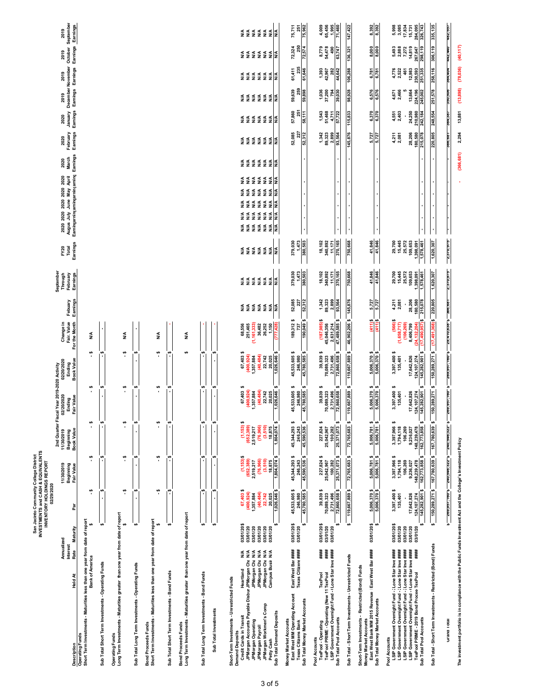|                                                                                                                                                                                                                                                                                                                               |                                                                                                                      |                                                                             | INVENTORY HOLDINGS REPORT<br>02/29/2020                                           | San Jacinto Community College District<br>INVESTMENTS and CASH & EQUIVALENTS          |                                                                                           |                                                                                          |                                                                                    |                                                                 |                                                  |                                                                       |                                                                   |                                                                                                                                                                                         |               |                                                                                  |                                                                                                                                     |                                                            |                                                          |                                                       |
|-------------------------------------------------------------------------------------------------------------------------------------------------------------------------------------------------------------------------------------------------------------------------------------------------------------------------------|----------------------------------------------------------------------------------------------------------------------|-----------------------------------------------------------------------------|-----------------------------------------------------------------------------------|---------------------------------------------------------------------------------------|-------------------------------------------------------------------------------------------|------------------------------------------------------------------------------------------|------------------------------------------------------------------------------------|-----------------------------------------------------------------|--------------------------------------------------|-----------------------------------------------------------------------|-------------------------------------------------------------------|-----------------------------------------------------------------------------------------------------------------------------------------------------------------------------------------|---------------|----------------------------------------------------------------------------------|-------------------------------------------------------------------------------------------------------------------------------------|------------------------------------------------------------|----------------------------------------------------------|-------------------------------------------------------|
| Description                                                                                                                                                                                                                                                                                                                   | Annualized<br><b>Interest</b><br>Rate<br><b>Held At</b>                                                              | Maturity                                                                    | ā                                                                                 | 11/30/2019<br>Beginning<br>Fair Value                                                 | 11/30/2019<br>Book Value<br>Beginning                                                     | 2nd Quarter Fiscal Year 2019-2020 Activity<br>02/20/2020<br>Ending<br>Fair Value         | 02/20/2020<br><b>Book Value</b><br>Ending                                          | Change in<br>Fair. Value<br>For the Month                       | Earnings<br>Febuary                              | September<br>Through<br>February<br>Earnings                          | Earnings<br>FY20<br>Total                                         | Earningarningarningarningarning Earnings<br>2020 2020 2020 2020 2020<br>Augus July June May April                                                                                       | March<br>2020 | Earnings<br>February<br>Earnings<br>2020                                         | 2020 2019 2019 2019 2019 2019<br>January December November October September<br>Earnings Earnings Earnings Earnings <u>Earnings</u> |                                                            |                                                          |                                                       |
| Short Term Investments - Maturities less than one year from date of report<br><b>Operating Funds</b>                                                                                                                                                                                                                          | Bank of America                                                                                                      | $\epsilon$                                                                  | ۴                                                                                 | $\ddot{\bullet}$                                                                      | ↮<br>$\blacksquare$                                                                       | ₩<br>$\blacksquare$                                                                      | $\ddot{\bm{r}}$                                                                    | ≸                                                               |                                                  |                                                                       |                                                                   |                                                                                                                                                                                         |               |                                                                                  |                                                                                                                                     |                                                            |                                                          |                                                       |
| Sub Total Short Term Investments - Operating Funds                                                                                                                                                                                                                                                                            |                                                                                                                      | မာ                                                                          |                                                                                   |                                                                                       | ↮                                                                                         |                                                                                          |                                                                                    |                                                                 |                                                  |                                                                       |                                                                   |                                                                                                                                                                                         |               |                                                                                  |                                                                                                                                     |                                                            |                                                          |                                                       |
| Long Term Investments - Maturities greater than one year from date of report<br>Operating Funds                                                                                                                                                                                                                               |                                                                                                                      | s,                                                                          | ۴                                                                                 | ₩                                                                                     | ↮<br>٠                                                                                    | ↮                                                                                        | $\ddot{\bullet}$                                                                   | ≸                                                               |                                                  |                                                                       |                                                                   |                                                                                                                                                                                         |               |                                                                                  |                                                                                                                                     |                                                            |                                                          |                                                       |
| Sub Total Long Term Investments - Operating Funds                                                                                                                                                                                                                                                                             |                                                                                                                      | ↮                                                                           |                                                                                   |                                                                                       | ÷                                                                                         | $\theta$                                                                                 |                                                                                    |                                                                 |                                                  |                                                                       |                                                                   |                                                                                                                                                                                         |               |                                                                                  |                                                                                                                                     |                                                            |                                                          |                                                       |
| Short Term Investments - Maturities less than one year from date of report<br><b>Bond Proceeds Funds</b>                                                                                                                                                                                                                      |                                                                                                                      | $\theta$                                                                    | ؋                                                                                 | ↮                                                                                     | ↮<br>$\blacksquare$                                                                       | ₩<br>$\blacksquare$                                                                      | \$.                                                                                | ≸                                                               |                                                  |                                                                       |                                                                   |                                                                                                                                                                                         |               |                                                                                  |                                                                                                                                     |                                                            |                                                          |                                                       |
| Sub Total Short Term Investments - Bond Funds                                                                                                                                                                                                                                                                                 |                                                                                                                      | th                                                                          |                                                                                   |                                                                                       | \$.                                                                                       | $\blacksquare$                                                                           |                                                                                    |                                                                 |                                                  |                                                                       |                                                                   |                                                                                                                                                                                         |               |                                                                                  |                                                                                                                                     |                                                            |                                                          |                                                       |
| Long Term Investments - Maturities greater than one year from date of report<br>Bond Proceeds Funds                                                                                                                                                                                                                           |                                                                                                                      |                                                                             |                                                                                   |                                                                                       |                                                                                           |                                                                                          | $\bullet$                                                                          | ≸                                                               |                                                  |                                                                       |                                                                   |                                                                                                                                                                                         |               |                                                                                  |                                                                                                                                     |                                                            |                                                          |                                                       |
| Sub Total Long Term Investments - Bond Funds                                                                                                                                                                                                                                                                                  |                                                                                                                      | s                                                                           |                                                                                   | °,                                                                                    | $\frac{1}{2}$                                                                             | $\blacksquare$                                                                           |                                                                                    |                                                                 |                                                  |                                                                       |                                                                   |                                                                                                                                                                                         |               |                                                                                  |                                                                                                                                     |                                                            |                                                          |                                                       |
| Sub Total Investments                                                                                                                                                                                                                                                                                                         |                                                                                                                      | ÷                                                                           |                                                                                   |                                                                                       | $\frac{1}{2}$                                                                             | th,                                                                                      | ÷,                                                                                 |                                                                 |                                                  |                                                                       |                                                                   |                                                                                                                                                                                         |               |                                                                                  |                                                                                                                                     |                                                            |                                                          |                                                       |
| JPMorgan Accounts Payable Disbur JPMorgan Cha<br>Short-Term Investments - Unrestricted Funds<br>Demand Deposits<br>JPMorgan Workmen's Comp<br>Sub Total Demand Deposits<br>Credit Cards in Transit<br>JPMorgan Operating<br>JPMorgan Payroll<br>Petty Cash                                                                    | ≸≨<br>≸<br>$\S$ $\S$ $\S$ $\S$<br>JPMorgan Cha<br><b>Campus Busir</b><br>JP Morgan Cha<br>JP Morgan Cha<br>Heartland | ↮<br>03/01/20\$<br>03/01/20<br>03/01/20<br>03/01/20<br>03/01/20<br>03/01/20 | 67,403\$<br>(40, 484)<br>(400, 924)<br>1,357,884<br>22,742<br>20,025<br>1,026,646 | $(1,153)$ \$<br>1,804,074<br>(76,966)<br>(3,510)<br>(652, 389)<br>18,875<br>2,519,217 | ÷<br>↮<br>(1, 153)<br>(76,966)<br>(3,510)<br>1,804,074<br>18,875<br>(652,389<br>2,519,217 | 67,403\$<br>$(400, 924)$<br>1,357,884<br>$(40, 484)$<br>$22, 742$<br>20,025<br>1,026,646 | 67,403\$<br>(400,924)<br>1,357,884<br>$(40, 484)$<br>22,742<br>20,025<br>1,026,646 | $(1,161,333)$<br>36,482<br>26,252<br>1,150<br>68,556<br>251,465 |                                                  | <b>A A A A A A A</b>                                                  | <u> इ इ इ इ इ व्रं</u>                                            | <b>SSSSSSS</b><br>Trader<br>≸<br>≥ ≤<br>32222<br><b>SSSSSS</b><br>TRACK<br>≸ ≸<br>$\frac{4}{2}$<br>$\frac{4}{2}$<br>$\frac{4}{2}$<br>≸<br>≸<br><u>र ३ ३ ३ ३ ३ ४</u><br>इ.स. १ ४ ४ ४ ४ ४ | ≅≅≅≅≅≅        | <b>SSSSSSS</b><br><b>SSSSSSS</b><br>Tradition                                    | <u>ऽ ऽ ऽ ऽ ऽ ऽ ऽ</u>                                                                                                                | <b>SSSSSSS</b><br>TRACCA                                   | <b>≋</b> ≋ ≋ ≋ ≋ ≋ ≋                                     | इ≅ ≨ ≨ ≨ ≨ ≨                                          |
| East West MM Operating Account<br>Sub Total Money Market Accounts<br>Money Market Accounts<br><b>Texas Citizens Bank</b>                                                                                                                                                                                                      | East West Bar ####<br><b>Texas Citizens ####</b>                                                                     | ÷<br>03/01/20\$<br>03/01/20                                                 | 45,533,605\$<br>45,780,585\$<br>246,980                                           | 45,344,293 \$<br>45,590,536 \$<br>246,243                                             | 45,590,536 \$<br>45,344,293 \$<br>246,243                                                 | 45,533,605\$<br>246,980<br>45,780,585\$                                                  | 45,533,605\$<br>45,780,585\$<br>246,980                                            | 189,312\$<br>190,049 \$<br>737                                  | 52,085<br>52,312<br>227                          | 379,030<br>1,473<br>380,503                                           | 379,030<br>1,473<br>380,503                                       |                                                                                                                                                                                         |               | 57,860<br>58,111<br>52,085<br>227<br>52,312                                      | 259<br>59,639<br>59,898<br>251                                                                                                      | 235<br>61,411<br>61,646                                    | 250<br>72,574<br>72,324                                  | 75,962<br>75,711<br>251                               |
| LSIP Government Overnight Fund - (Lone Star Inve ####<br>TexPool PRIME - Operating (New 11 TexPool<br>Sub Total Pool Accounts<br>TexPool - Operating<br>Pool Accounts                                                                                                                                                         | ####<br>####<br>TexPool                                                                                              | 03/01/20\$<br>မာ<br>03/01/20<br>03/01/20                                    | 39,839\$<br>72,860,658\$<br>70,089,323<br>2,731,496                               | 227,824 \$<br>25,371,073\$<br>25,042,967<br>100,282                                   | 25,371,073 \$<br>↮<br>227,824<br>100,282<br>25,042,967                                    | 39,839\$<br>72,860,658<br>70,089,323<br>2,731,496                                        | 39,839\$<br>72,860,658\$<br>70,089,323<br>2,731,496                                | (187,985) \$<br>45,046,356<br>2,631,214<br>47,489,585           | $7,342$ $39,323$ $2,899$ $93,564$                | $\begin{array}{c} 18,102 \\ 340,892 \\ 11,171 \end{array}$<br>370,165 | 370,165<br>18,102<br>340,892<br>11,171                            |                                                                                                                                                                                         |               | 1,543<br>51,468<br>4,711<br>57,722<br>$1,342$<br>89,323<br>2,899<br>93,564       | 1,036<br>37,200<br>794<br>39,030                                                                                                    | 1,393<br>42,967<br>282<br>44,642                           | 8,779<br>54,478<br>490<br>63,747                         | 65,456<br>1,995<br>4,009<br>71,460                    |
| Sub Total - Short Term Investments - Unrestricted Funds                                                                                                                                                                                                                                                                       |                                                                                                                      | ÷                                                                           | 119,667,889\$                                                                     | 72,765,683 \$                                                                         | 72,765,683 \$                                                                             | ↮<br>119,667,889                                                                         | ÷<br>119,667,889                                                                   | 46,902,206                                                      | 145,876                                          | 750,668                                                               | 750,668                                                           |                                                                                                                                                                                         |               | 115,833<br>145,876                                                               | 98,928                                                                                                                              | 106,288                                                    | 136,321                                                  | 147,422                                               |
| East West Bank MM 2015 Revenue East West Bar ####<br>Short-Term Investments - Restricted (Bond) Funds<br>Sub Total Money Market Accounts<br><b>Money Market Accounts</b>                                                                                                                                                      |                                                                                                                      | 03/01/20\$<br>$\bullet$                                                     | 5,006,370 \$<br>5,006,370\$                                                       | 5,006,781 \$<br>5,006,781 \$                                                          | $\boldsymbol{\omega}$<br>5,006,781 :<br>5,006,781 :                                       | 5,006,370 \$<br>5,006,370 \$                                                             | 5,006,370 \$<br>5,006,370 \$                                                       | $\frac{(411)}{(411)}$ \$                                        | 5,727<br>5,727                                   | 41,846<br>41,846                                                      | 41,846<br>41,846                                                  |                                                                                                                                                                                         |               | $\frac{5,727}{5,727}$                                                            | 6,576<br>6,370                                                                                                                      | $rac{6,787}{6,781}$                                        | 8,000                                                    | 8,392<br>8,392                                        |
| LSIP Government Overnight Fund - / Lone Star Inve ####<br>LSIP Government Overnight Fund -:Lone Star Inve ####<br>LSIP Government Overnight Fund -:Lone Star Inve ####<br>ToxPool PRIME -.2019 Boiloit Fund -:Lone Star Inve ####<br>ToxPool PRIME -.2019 Boiloit Fund -:ToxPools<br>Sub Total Pool Accounts<br>Pool Accounts |                                                                                                                      | $\bullet$<br>03/01/20\$<br>03/01/20<br>03/01/20<br>03/01/20<br>03/01/20     | 124,107,274<br>145,282,901 \$<br>3,397,400\$<br>17,642,826<br>135,401             | 148,239,478<br>162,773,858 \$<br>↮<br>3,397,966<br>1,794,118<br>106,269<br>9,236,027  | $148,239,478$<br>$162,773,858$ \$<br>↮<br>3,397,966<br>1,794,118<br>106,269<br>9,236,027  | $\bullet$<br>↮<br>3,397,400<br>124,107,274<br>145,282,901<br>17,642,826<br>135,401       | ø<br>3,397,400 \$<br>135,401<br>17,642,826<br>124,107,274<br>145,282,901           | $(566)$ \$<br>↮<br>$(1,658,717)$<br>$(106,269)$<br>8,406,799    | 28,206<br>180,580<br>215,078<br>$4,211$<br>2,081 | 29,700<br>15,445<br>16,653<br>109,667<br>200,467<br>200,467           | 29,700<br>15,445<br>15,572<br>1,398,091<br>1,578,461<br>1,578,461 |                                                                                                                                                                                         |               | 24,250<br>210,980<br>242,184<br>28,206<br>180,580<br>215,078<br>$4,211$<br>2,081 | 224,196<br>245,002<br>2,466<br>13,664<br>4,671<br>4,551<br>2,403                                                                    | 4,776<br>2,522<br>461<br>12,983<br>230,593<br>251,335<br>ю | 5,493<br>2,888<br>7,272<br>267,647<br>208,119<br>298,119 | 5,998<br>3,085<br>5,731<br>5,731<br>28,743<br>326,743 |
| Sub Total - Short Term Investments - Restricted (Bond) Funds                                                                                                                                                                                                                                                                  |                                                                                                                      | ↮                                                                           | 150,289,271 \$                                                                    | 167,780,639 \$                                                                        | 167,780,639 \$                                                                            | $\boldsymbol{\theta}$<br>150,289,271                                                     | 150,289,271 \$                                                                     | $(17, 491, 368)$ \$                                             | 220,805                                          | 1,620,307                                                             | 1,620,307                                                         |                                                                                                                                                                                         |               | 248,554<br>220,805                                                               | 251,578                                                                                                                             | 258,116                                                    | 306,119                                                  | 335,135                                               |
| The investment portfolio is in compliance with the Public Funds Investment Act and the College's Investment Policy<br>urang lotal                                                                                                                                                                                             |                                                                                                                      | ا<br>م                                                                      |                                                                                   | 4 Z26,040,042 4 Z36,040,042 4 U01,106,802                                             |                                                                                           |                                                                                          |                                                                                    | L99'450 4 929'01.b'67                                           |                                                  | 6/8/0/275                                                             | 5/8/0/8/2                                                         |                                                                                                                                                                                         | (366, 681)    | 13,881<br>364,387<br>2,294<br>189,007                                            | (13,898)<br>and <sup>1</sup> nee                                                                                                    | (78,036)<br>364,404                                        | (40, 117)<br>442,440                                     | 197,291                                               |
|                                                                                                                                                                                                                                                                                                                               |                                                                                                                      |                                                                             |                                                                                   |                                                                                       |                                                                                           |                                                                                          |                                                                                    |                                                                 |                                                  |                                                                       |                                                                   |                                                                                                                                                                                         |               |                                                                                  |                                                                                                                                     |                                                            |                                                          |                                                       |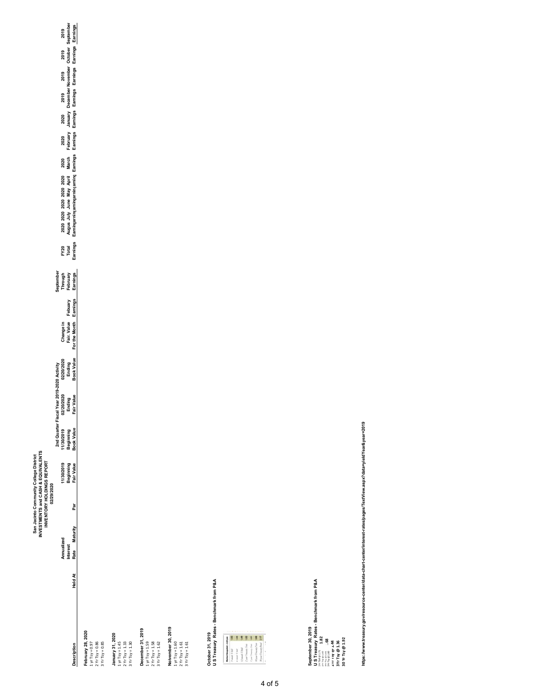|                  |                 |                       | 02/29/2020 | <b>IVESTMENTS and CASH &amp; EQUIVALENTS</b><br>San Jacinto Community College District<br>INVENTORY HOLDINGS REPORT |                         |                                    |                                    |                                                             |                                              |                           |                                                                                                              |                              |                             |                                                                           |  |                               |
|------------------|-----------------|-----------------------|------------|---------------------------------------------------------------------------------------------------------------------|-------------------------|------------------------------------|------------------------------------|-------------------------------------------------------------|----------------------------------------------|---------------------------|--------------------------------------------------------------------------------------------------------------|------------------------------|-----------------------------|---------------------------------------------------------------------------|--|-------------------------------|
|                  |                 |                       |            |                                                                                                                     |                         | 2nd Quarter Fiscal Year 20         | J19-2020 Activity                  |                                                             |                                              |                           |                                                                                                              |                              |                             |                                                                           |  |                               |
|                  | Annualized      |                       |            | 1/30/2019                                                                                                           | 1/30/2019               |                                    |                                    |                                                             |                                              |                           |                                                                                                              |                              |                             |                                                                           |  |                               |
|                  | <b>Interest</b> |                       |            | Beginning<br>Fair Value                                                                                             | Beginning<br>Book Value |                                    |                                    |                                                             |                                              |                           |                                                                                                              |                              |                             |                                                                           |  |                               |
| escription       |                 | Held At Rate Maturity | Par        |                                                                                                                     |                         | 02/20/2020<br>Ending<br>Fair Value | 02/20/2020<br>Ending<br>Book Value | Change in<br>Fair. Value  Febuary<br>For the Month Earnings | September<br>Through<br>February<br>Earnings | FY20<br>Total<br>Earnings | 2020 2020 2020 2020 2020 2020<br>Augus July June May April March<br>Earninçarningarningarningarning Earnings | 2020<br>February<br>Earnings | 2020<br>January<br>Earnings | 2019 2019 2019<br>December November October<br>Earnings Earnings Earnings |  | 2019<br>September<br>Earnings |
| ebruary 28, 2020 |                 |                       |            |                                                                                                                     |                         |                                    |                                    |                                                             |                                              |                           |                                                                                                              |                              |                             |                                                                           |  |                               |
| $yr$ Tsy = 0.97  |                 |                       |            |                                                                                                                     |                         |                                    |                                    |                                                             |                                              |                           |                                                                                                              |                              |                             |                                                                           |  |                               |
| $Yr$ Tsy = 0.86  |                 |                       |            |                                                                                                                     |                         |                                    |                                    |                                                             |                                              |                           |                                                                                                              |                              |                             |                                                                           |  |                               |

**Description**<br>**February 28, 202**<br>1 yr Tsy = 0.97<br>2 Yr Tsy = 0.86<br>3 Yr Tsy = 0.85 1 yr Tsy = 0.97 2 Yr Tsy = 0.86 3 Yr Tsy = 0.85

**January 31, 2020** 1 yr Tsy = 1.45 2 Yr Tsy = 1.33

 $\begin{array}{l} \textbf{January 31, 2020} \\ 1 \text{ yr} \, 7 \text{yr} = 1.45 \\ 2 \text{ yr} \, 7 \text{yr} = 1.33 \\ 3 \text{ yr} \, 7 \text{sr} = 1.33 \\ 9 \text{N r} \, 7 \text{s} = 1.30 \\ \textbf{Desember 31, 2019} \\ \textbf{Desember 31, 2019} \\ 2 \text{ yr} \, 7 \text{s} = 1.52 \\ 2 \text{ yr} \, 7 \text{s} = 1.62 \\ 3 \text{ yr} \, 7 \text{s} = 1.62 \end{array}$ **December 31, 2019** 3 Yr Tsy = 1.30 1 yr Tsy = 1.59

2 Yr Tsy = 1.58 3 Yr Tsy = 1.62

Nolvember 30, 2019<br>1 yr Tsy = 1.60<br>2 Yr Tsy = 1.61<br>3 Yr Tsy = 1.61 **Noivember 30, 2019** 1 yr Tsy = 1.60 2 Yr Tsy = 1.61 3 Yr Tsy = 1.61

October 31, 2019<br>U S Treasury Rates - Benchmark from P&A **U S Treasury Rates - Benchmark from P&A October 31, 2019**



September 30, 2019<br>PLS Treasury Rates - Benchmark from P&A<br>PLS Treasury Rates - Benchmark from P&A<br>PLS Treasury BLA4<br>Arrivy BLA4<br>30 Yr Try (BL32 **U S Treasury Rates - Benchmark from P&A September 30, 2019 6. Property 1.82 1Yr Tbill @ 1.68 2Yr Tsy @ 1.44 3Yr Tsy @ 1.36**

**30 Yr Tsy @ 1.92**

https://www.treasury.gov/resource-center/data-chart-center/interest-rates/pages/TextView.aspx?data=yieldYear&year=2019 **https://www.treasury.gov/resource-center/data-chart-center/interest-rates/pages/TextView.aspx?data=yieldYear&year=2019**